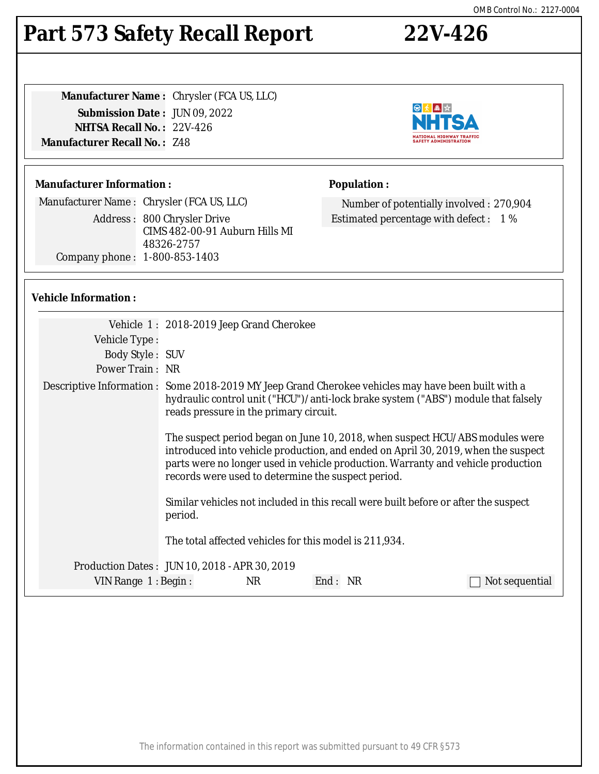### The information contained in this report was submitted pursuant to 49 CFR §573

### OMB Control No.: 2127-0004

## **Part 573 Safety Recall Report 22V-426**

**Manufacturer Name :** Chrysler (FCA US, LLC) **Submission Date :** JUN 09, 2022 **NHTSA Recall No. :** 22V-426 **Manufacturer Recall No. :** Z48

### **Manufacturer Information :**

Manufacturer Name : Chrysler (FCA US, LLC) Address : 800 Chrysler Drive CIMS 482-00-91 Auburn Hills MI 48326-2757 Company phone : 1-800-853-1403

### **Vehicle Information :**

| Vehicle Type:       | Vehicle 1: 2018-2019 Jeep Grand Cherokee                                                                                                                                                                                                                                                                    |
|---------------------|-------------------------------------------------------------------------------------------------------------------------------------------------------------------------------------------------------------------------------------------------------------------------------------------------------------|
| Body Style: SUV     |                                                                                                                                                                                                                                                                                                             |
| Power Train: NR     |                                                                                                                                                                                                                                                                                                             |
|                     | Descriptive Information : Some 2018-2019 MY Jeep Grand Cherokee vehicles may have been built with a<br>hydraulic control unit ("HCU")/anti-lock brake system ("ABS") module that falsely<br>reads pressure in the primary circuit.                                                                          |
|                     | The suspect period began on June 10, 2018, when suspect HCU/ABS modules were<br>introduced into vehicle production, and ended on April 30, 2019, when the suspect<br>parts were no longer used in vehicle production. Warranty and vehicle production<br>records were used to determine the suspect period. |
|                     | Similar vehicles not included in this recall were built before or after the suspect<br>period.                                                                                                                                                                                                              |
|                     | The total affected vehicles for this model is 211,934.                                                                                                                                                                                                                                                      |
|                     | Production Dates : JUN 10, 2018 - APR 30, 2019                                                                                                                                                                                                                                                              |
| VIN Range 1: Begin: | NR<br>End: NR<br>Not sequential                                                                                                                                                                                                                                                                             |



**Population :**



Number of potentially involved : 270,904

Estimated percentage with defect : 1 %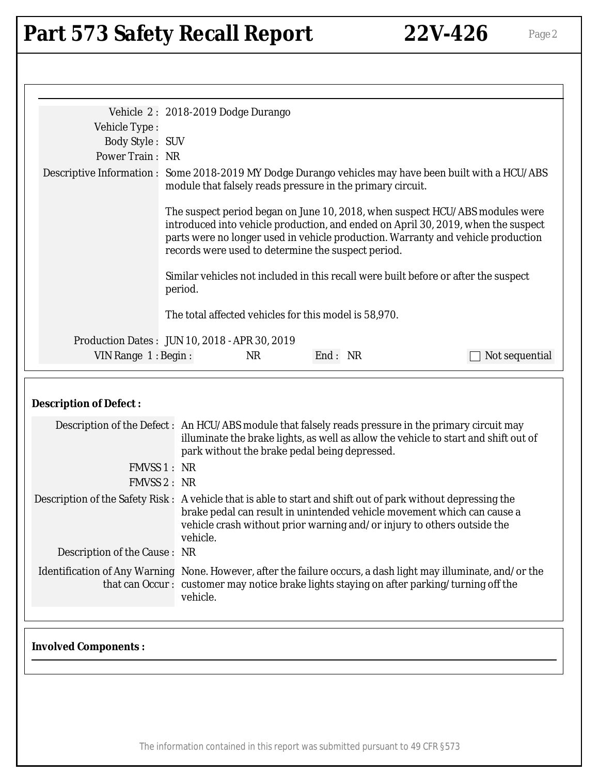# Part 573 Safety Recall Report 22V-426 Page 2

|                               | Vehicle 2: 2018-2019 Dodge Durango                                                                                                                                                                                                                                                                          |  |  |  |
|-------------------------------|-------------------------------------------------------------------------------------------------------------------------------------------------------------------------------------------------------------------------------------------------------------------------------------------------------------|--|--|--|
| Vehicle Type:                 |                                                                                                                                                                                                                                                                                                             |  |  |  |
| <b>Body Style: SUV</b>        |                                                                                                                                                                                                                                                                                                             |  |  |  |
| Power Train: NR               |                                                                                                                                                                                                                                                                                                             |  |  |  |
|                               | Descriptive Information : Some 2018-2019 MY Dodge Durango vehicles may have been built with a HCU/ABS<br>module that falsely reads pressure in the primary circuit.                                                                                                                                         |  |  |  |
|                               | The suspect period began on June 10, 2018, when suspect HCU/ABS modules were<br>introduced into vehicle production, and ended on April 30, 2019, when the suspect<br>parts were no longer used in vehicle production. Warranty and vehicle production<br>records were used to determine the suspect period. |  |  |  |
|                               | Similar vehicles not included in this recall were built before or after the suspect<br>period.                                                                                                                                                                                                              |  |  |  |
|                               | The total affected vehicles for this model is 58,970.                                                                                                                                                                                                                                                       |  |  |  |
|                               | Production Dates: JUN 10, 2018 - APR 30, 2019                                                                                                                                                                                                                                                               |  |  |  |
| VIN Range 1: Begin:           | End: NR<br><b>NR</b><br>Not sequential                                                                                                                                                                                                                                                                      |  |  |  |
|                               |                                                                                                                                                                                                                                                                                                             |  |  |  |
| <b>Description of Defect:</b> |                                                                                                                                                                                                                                                                                                             |  |  |  |
|                               | Description of the Defect: An HCU/ABS module that falsely reads pressure in the primary circuit may<br>illuminate the brake lights, as well as allow the vehicle to start and shift out of<br>park without the brake pedal being depressed.                                                                 |  |  |  |
| FMVSS 1 : NR                  |                                                                                                                                                                                                                                                                                                             |  |  |  |
| <b>FMVSS 2: NR</b>            |                                                                                                                                                                                                                                                                                                             |  |  |  |
|                               | Description of the Safety Risk: A vehicle that is able to start and shift out of park without depressing the<br>brake pedal can result in unintended vehicle movement which can cause a<br>vehicle crash without prior warning and/or injury to others outside the<br>vehicle.                              |  |  |  |
| Description of the Cause: NR  |                                                                                                                                                                                                                                                                                                             |  |  |  |
|                               | Identification of Any Warning None. However, after the failure occurs, a dash light may illuminate, and/or the<br>that can Occur: customer may notice brake lights staying on after parking/turning off the<br>vehicle.                                                                                     |  |  |  |
| <b>Involved Components:</b>   |                                                                                                                                                                                                                                                                                                             |  |  |  |

The information contained in this report was submitted pursuant to 49 CFR §573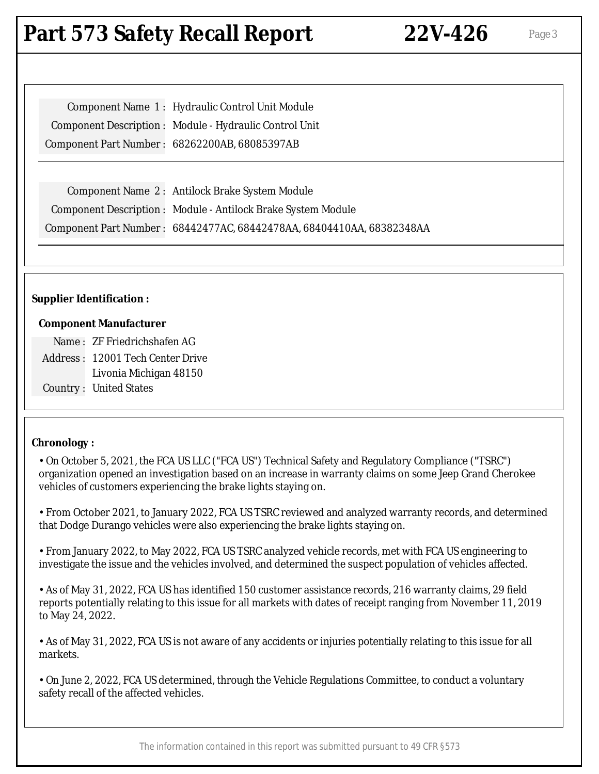### **Part 573 Safety Recall Report 22V-426** Page 3

Component Name 1 : Hydraulic Control Unit Module Component Description : Module - Hydraulic Control Unit Component Part Number : 68262200AB, 68085397AB

Component Name 2 : Antilock Brake System Module Component Description : Module - Antilock Brake System Module Component Part Number : 68442477AC, 68442478AA, 68404410AA, 68382348AA

### **Supplier Identification :**

#### **Component Manufacturer**

Name : ZF Friedrichshafen AG Address : 12001 Tech Center Drive Livonia Michigan 48150 Country : United States

### **Chronology :**

• On October 5, 2021, the FCA US LLC ("FCA US") Technical Safety and Regulatory Compliance ("TSRC") organization opened an investigation based on an increase in warranty claims on some Jeep Grand Cherokee vehicles of customers experiencing the brake lights staying on.

• From October 2021, to January 2022, FCA US TSRC reviewed and analyzed warranty records, and determined that Dodge Durango vehicles were also experiencing the brake lights staying on.

• From January 2022, to May 2022, FCA US TSRC analyzed vehicle records, met with FCA US engineering to investigate the issue and the vehicles involved, and determined the suspect population of vehicles affected.

• As of May 31, 2022, FCA US has identified 150 customer assistance records, 216 warranty claims, 29 field reports potentially relating to this issue for all markets with dates of receipt ranging from November 11, 2019 to May 24, 2022.

• As of May 31, 2022, FCA US is not aware of any accidents or injuries potentially relating to this issue for all markets.

• On June 2, 2022, FCA US determined, through the Vehicle Regulations Committee, to conduct a voluntary safety recall of the affected vehicles.

The information contained in this report was submitted pursuant to 49 CFR §573